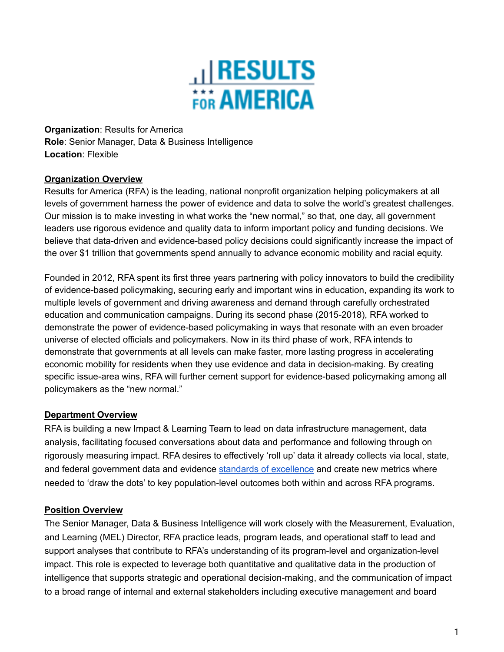

**Organization**: Results for America **Role**: Senior Manager, Data & Business Intelligence **Location**: Flexible

#### **Organization Overview**

Results for America (RFA) is the leading, national nonprofit organization helping policymakers at all levels of government harness the power of evidence and data to solve the world's greatest challenges. Our mission is to make investing in what works the "new normal," so that, one day, all government leaders use rigorous evidence and quality data to inform important policy and funding decisions. We believe that data-driven and evidence-based policy decisions could significantly increase the impact of the over \$1 trillion that governments spend annually to advance economic mobility and racial equity.

Founded in 2012, RFA spent its first three years partnering with policy innovators to build the credibility of evidence-based policymaking, securing early and important wins in education, expanding its work to multiple levels of government and driving awareness and demand through carefully orchestrated education and communication campaigns. During its second phase (2015-2018), RFA worked to demonstrate the power of evidence-based policymaking in ways that resonate with an even broader universe of elected officials and policymakers. Now in its third phase of work, RFA intends to demonstrate that governments at all levels can make faster, more lasting progress in accelerating economic mobility for residents when they use evidence and data in decision-making. By creating specific issue-area wins, RFA will further cement support for evidence-based policymaking among all policymakers as the "new normal."

#### **Department Overview**

RFA is building a new Impact & Learning Team to lead on data infrastructure management, data analysis, facilitating focused conversations about data and performance and following through on rigorously measuring impact. RFA desires to effectively 'roll up' data it already collects via local, state, and federal government data and evidence standards of [excellence](http://results4america.org/tool/index/) and create new metrics where needed to 'draw the dots' to key population-level outcomes both within and across RFA programs.

#### **Position Overview**

The Senior Manager, Data & Business Intelligence will work closely with the Measurement, Evaluation, and Learning (MEL) Director, RFA practice leads, program leads, and operational staff to lead and support analyses that contribute to RFA's understanding of its program-level and organization-level impact. This role is expected to leverage both quantitative and qualitative data in the production of intelligence that supports strategic and operational decision-making, and the communication of impact to a broad range of internal and external stakeholders including executive management and board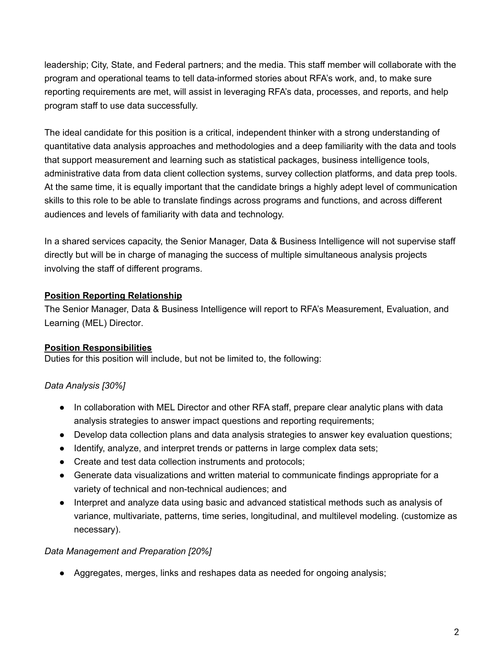leadership; City, State, and Federal partners; and the media. This staff member will collaborate with the program and operational teams to tell data-informed stories about RFA's work, and, to make sure reporting requirements are met, will assist in leveraging RFA's data, processes, and reports, and help program staff to use data successfully.

The ideal candidate for this position is a critical, independent thinker with a strong understanding of quantitative data analysis approaches and methodologies and a deep familiarity with the data and tools that support measurement and learning such as statistical packages, business intelligence tools, administrative data from data client collection systems, survey collection platforms, and data prep tools. At the same time, it is equally important that the candidate brings a highly adept level of communication skills to this role to be able to translate findings across programs and functions, and across different audiences and levels of familiarity with data and technology.

In a shared services capacity, the Senior Manager, Data & Business Intelligence will not supervise staff directly but will be in charge of managing the success of multiple simultaneous analysis projects involving the staff of different programs.

### **Position Reporting Relationship**

The Senior Manager, Data & Business Intelligence will report to RFA's Measurement, Evaluation, and Learning (MEL) Director.

### **Position Responsibilities**

Duties for this position will include, but not be limited to, the following:

# *Data Analysis [30%]*

- In collaboration with MEL Director and other RFA staff, prepare clear analytic plans with data analysis strategies to answer impact questions and reporting requirements;
- Develop data collection plans and data analysis strategies to answer key evaluation questions;
- Identify, analyze, and interpret trends or patterns in large complex data sets;
- Create and test data collection instruments and protocols;
- Generate data visualizations and written material to communicate findings appropriate for a variety of technical and non-technical audiences; and
- Interpret and analyze data using basic and advanced statistical methods such as analysis of variance, multivariate, patterns, time series, longitudinal, and multilevel modeling. (customize as necessary).

### *Data Management and Preparation [20%]*

● Aggregates, merges, links and reshapes data as needed for ongoing analysis;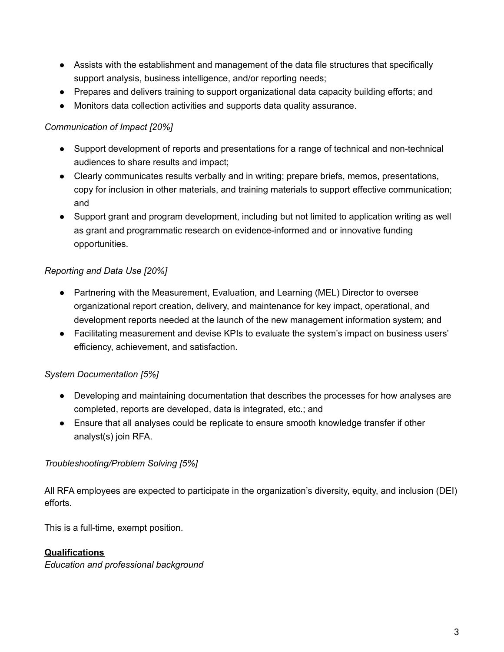- Assists with the establishment and management of the data file structures that specifically support analysis, business intelligence, and/or reporting needs;
- Prepares and delivers training to support organizational data capacity building efforts; and
- Monitors data collection activities and supports data quality assurance.

## *Communication of Impact [20%]*

- Support development of reports and presentations for a range of technical and non-technical audiences to share results and impact;
- Clearly communicates results verbally and in writing; prepare briefs, memos, presentations, copy for inclusion in other materials, and training materials to support effective communication; and
- Support grant and program development, including but not limited to application writing as well as grant and programmatic research on evidence-informed and or innovative funding opportunities.

## *Reporting and Data Use [20%]*

- Partnering with the Measurement, Evaluation, and Learning (MEL) Director to oversee organizational report creation, delivery, and maintenance for key impact, operational, and development reports needed at the launch of the new management information system; and
- Facilitating measurement and devise KPIs to evaluate the system's impact on business users' efficiency, achievement, and satisfaction.

# *System Documentation [5%]*

- Developing and maintaining documentation that describes the processes for how analyses are completed, reports are developed, data is integrated, etc.; and
- Ensure that all analyses could be replicate to ensure smooth knowledge transfer if other analyst(s) join RFA.

### *Troubleshooting/Problem Solving [5%]*

All RFA employees are expected to participate in the organization's diversity, equity, and inclusion (DEI) efforts.

This is a full-time, exempt position.

# **Qualifications**

*Education and professional background*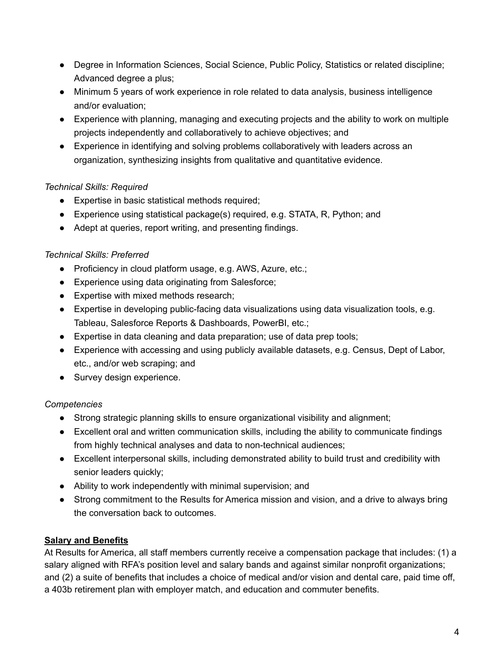- Degree in Information Sciences, Social Science, Public Policy, Statistics or related discipline; Advanced degree a plus;
- Minimum 5 years of work experience in role related to data analysis, business intelligence and/or evaluation;
- Experience with planning, managing and executing projects and the ability to work on multiple projects independently and collaboratively to achieve objectives; and
- Experience in identifying and solving problems collaboratively with leaders across an organization, synthesizing insights from qualitative and quantitative evidence.

### *Technical Skills: Required*

- Expertise in basic statistical methods required;
- Experience using statistical package(s) required, e.g. STATA, R, Python; and
- Adept at queries, report writing, and presenting findings.

## *Technical Skills: Preferred*

- Proficiency in cloud platform usage, e.g. AWS, Azure, etc.;
- Experience using data originating from Salesforce;
- Expertise with mixed methods research;
- Expertise in developing public-facing data visualizations using data visualization tools, e.g. Tableau, Salesforce Reports & Dashboards, PowerBI, etc.;
- Expertise in data cleaning and data preparation; use of data prep tools;
- Experience with accessing and using publicly available datasets, e.g. Census, Dept of Labor, etc., and/or web scraping; and
- Survey design experience.

### *Competencies*

- Strong strategic planning skills to ensure organizational visibility and alignment;
- Excellent oral and written communication skills, including the ability to communicate findings from highly technical analyses and data to non-technical audiences;
- Excellent interpersonal skills, including demonstrated ability to build trust and credibility with senior leaders quickly;
- Ability to work independently with minimal supervision; and
- Strong commitment to the Results for America mission and vision, and a drive to always bring the conversation back to outcomes.

# **Salary and Benefits**

At Results for America, all staff members currently receive a compensation package that includes: (1) a salary aligned with RFA's position level and salary bands and against similar nonprofit organizations; and (2) a suite of benefits that includes a choice of medical and/or vision and dental care, paid time off, a 403b retirement plan with employer match, and education and commuter benefits.